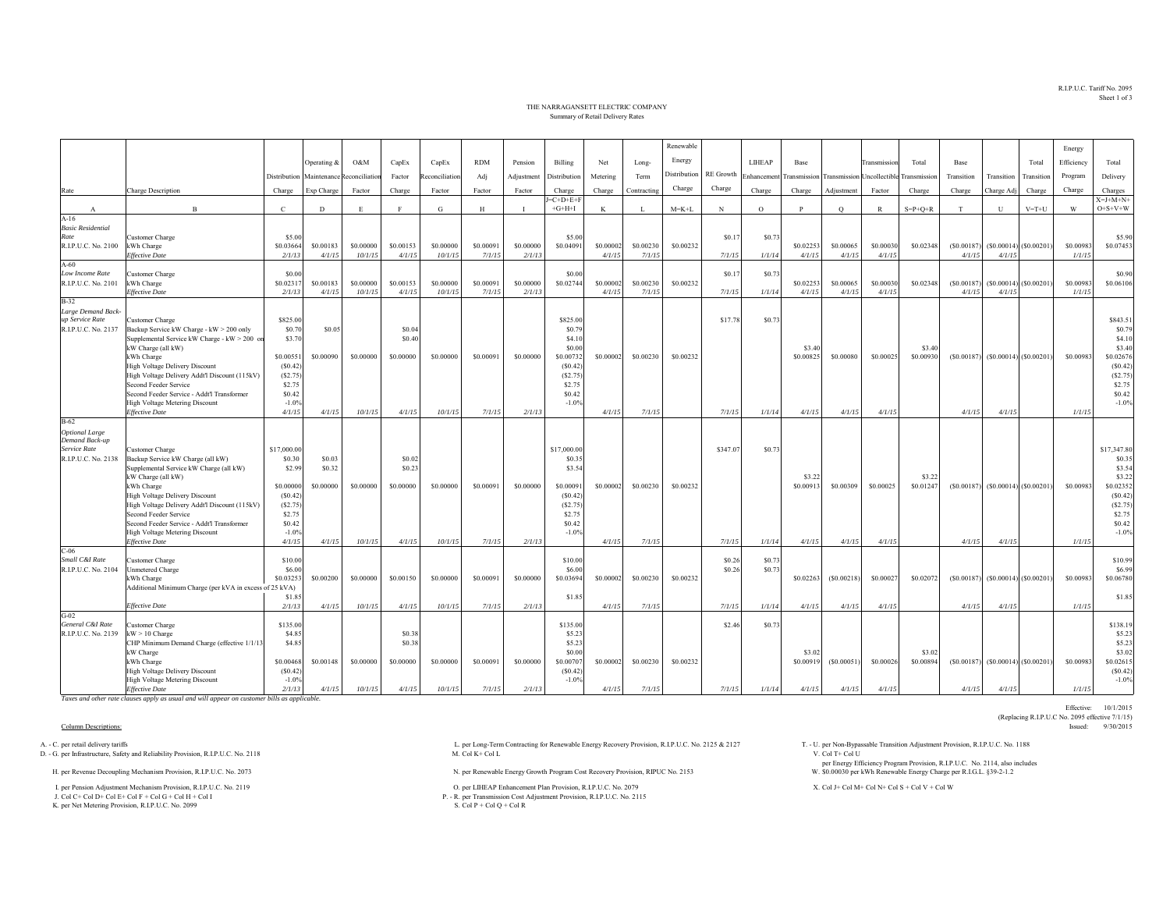R.I.P.U.C. Tariff No. 2095Sheet 1 of 3

## THE NARRAGANSETT ELECTRIC COMPANYSummary of Retail Delivery Rates

|                                       |                                                                                          |                      |                     |                      |                     |                      |                     |                     |                       |                     |                     | Renewable    |                  |                |                     |                     |                                   |                     |                      |              |                           | Energy              |                       |
|---------------------------------------|------------------------------------------------------------------------------------------|----------------------|---------------------|----------------------|---------------------|----------------------|---------------------|---------------------|-----------------------|---------------------|---------------------|--------------|------------------|----------------|---------------------|---------------------|-----------------------------------|---------------------|----------------------|--------------|---------------------------|---------------------|-----------------------|
|                                       |                                                                                          |                      | Operating $\&$      | O&M                  | CapEx               | CapEx                | <b>RDM</b>          | Pension             | Billing               | Net                 | Long-               | Energy       |                  | <b>LIHEAP</b>  | Base                |                     | <b>Transmission</b>               | Total               | Base                 |              | Total                     | Efficiency          | Total                 |
|                                       |                                                                                          | Distribution         | Maintenance         | teconciliation       | Factor              | econciliation        |                     | Adjustment          | Distribution          | Metering            | Term                | Distribution | <b>RE</b> Growth | Enhancemen     | ransmission         |                     | <b>Transmission Uncollectible</b> | <b>Transmission</b> | Transition           | Transition   | Transition                |                     | Delivery              |
|                                       |                                                                                          |                      |                     |                      |                     |                      | Adj                 |                     |                       |                     |                     | Charge       | Charge           |                |                     |                     |                                   |                     |                      |              |                           | Program             |                       |
| Rate                                  | Charge Description                                                                       | Charge               | Exp Charge          | Factor               | Charge              | Factor               | Factor              | Factor              | Charge<br>$J=C+D+E+F$ | Charge              | Contracting         |              |                  | Charge         | Charge              | Adjustment          | Factor                            | Charge              | Charge               | Charge Adj   | Charge                    | Charge              | Charges<br>$X=J+M+N+$ |
| $\mathbf{A}$                          | $\overline{B}$                                                                           | $\mathcal{C}$        | D                   | E.                   |                     | G                    | H                   | - 1                 | $+G+H+I$              | K                   | - T                 | $M = K + L$  | N                | $\Omega$       | P                   | $\circ$             | $\mathbb{R}$                      | $S = P + Q + R$     | T                    | $\mathbf{U}$ | $V = T + U$               | W                   | $O+S+V+W$             |
| $A-16$                                |                                                                                          |                      |                     |                      |                     |                      |                     |                     |                       |                     |                     |              |                  |                |                     |                     |                                   |                     |                      |              |                           |                     |                       |
| <b>Basic Residential</b><br>Rate      |                                                                                          |                      |                     |                      |                     |                      |                     |                     | \$5.00                |                     |                     |              |                  |                |                     |                     |                                   |                     |                      |              |                           |                     |                       |
| R.I.P.U.C. No. 2100                   | Customer Charge<br>kWh Charge                                                            | \$5.00<br>\$0.03664  | \$0.00183           | \$0,00000            | \$0.00153           | \$0,00000            | \$0.00091           | \$0,00000           | \$0.04091             | \$0,0000            | \$0.00230           | \$0.00232    | \$0.1            | \$0.73         | \$0.02253           | \$0.00065           | \$0,00030                         | \$0.02348           | (S0.00187)           |              | $(S0.00014)$ (\$0.00201)  | \$0.00983           | \$5.90<br>\$0.07453   |
|                                       | <b>Effective Date</b>                                                                    | 2/1/13               | 4/1/15              | 10/1/15              | 4/1/15              | 10/1/15              | 7/1/15              | 2/1/13              |                       | 4/1/15              | 7/1/15              |              | 7/1/15           | 1/1/14         | 4/1/15              | 4/1/15              | 4/1/15                            |                     | 4/1/15               | 4/1/15       |                           | 1/1/15              |                       |
| $A-60$                                |                                                                                          |                      |                     |                      |                     |                      |                     |                     |                       |                     |                     |              |                  |                |                     |                     |                                   |                     |                      |              |                           |                     |                       |
| Low Income Rate                       | Customer Charge                                                                          | \$0.00               |                     |                      |                     |                      |                     |                     | \$0.00                |                     |                     |              | \$0.17           | \$0.73         |                     |                     |                                   |                     |                      |              |                           |                     | \$0.90                |
| R.I.P.U.C. No. 2101                   | kWh Charge<br><b>Effective Date</b>                                                      | \$0.0231<br>2/1/13   | \$0.00183<br>4/1/15 | \$0.00000<br>10/1/15 | \$0.00153<br>4/1/15 | \$0,00000<br>10/1/15 | \$0.00091<br>7/1/15 | \$0.00000<br>2/1/13 | \$0.02744             | \$0.00002<br>4/1/15 | \$0.00230<br>7/1/15 | \$0.00232    | 7/1/15           | 1/1/14         | \$0.02253<br>4/1/15 | \$0.00065<br>4/1/15 | \$0.00030<br>4/1/15               | \$0.02348           | (S0.00187)<br>4/1/15 | 4/1/15       | $(S0.00014)$ (\$0.00201)  | \$0.00983<br>1/1/15 | \$0.06106             |
| $B-32$                                |                                                                                          |                      |                     |                      |                     |                      |                     |                     |                       |                     |                     |              |                  |                |                     |                     |                                   |                     |                      |              |                           |                     |                       |
| Large Demand Back-                    |                                                                                          |                      |                     |                      |                     |                      |                     |                     |                       |                     |                     |              |                  |                |                     |                     |                                   |                     |                      |              |                           |                     |                       |
| up Service Rate                       | Customer Charge                                                                          | \$825.00             |                     |                      |                     |                      |                     |                     | \$825.00              |                     |                     |              | \$17.78          | \$0.7          |                     |                     |                                   |                     |                      |              |                           |                     | \$843.51              |
| R.I.P.U.C. No. 2137                   | Backup Service kW Charge - kW > 200 only<br>Supplemental Service kW Charge - kW > 200 or | \$0.70<br>\$3.70     | \$0.05              |                      | \$0.04<br>\$0.40    |                      |                     |                     | \$0.79<br>\$4.10      |                     |                     |              |                  |                |                     |                     |                                   |                     |                      |              |                           |                     | \$0.79<br>\$4.10      |
|                                       | kW Charge (all kW)                                                                       |                      |                     |                      |                     |                      |                     |                     | \$0.00                |                     |                     |              |                  |                | \$3.40              |                     |                                   | \$3.40              |                      |              |                           |                     | \$3.40                |
|                                       | kWh Charge                                                                               | \$0.00551            | \$0.00090           | \$0.00000            | \$0,00000           | \$0,00000            | \$0.00091           | \$0,00000           | \$0.00732             | \$0.0000            | \$0.00230           | \$0.00232    |                  |                | \$0.00825           | \$0.00080           | \$0.00025                         | \$0.0093            | (S0.00187)           |              | $(S0.00014)$ $(S0.00201)$ | \$0.00983           | \$0.02676             |
|                                       | <b>High Voltage Delivery Discount</b>                                                    | (S0.42)              |                     |                      |                     |                      |                     |                     | (S0.42)               |                     |                     |              |                  |                |                     |                     |                                   |                     |                      |              |                           |                     | (S0.42)               |
|                                       | High Voltage Delivery Addt'l Discount (115kV)<br>Second Feeder Service                   | (S2.75)<br>\$2.75    |                     |                      |                     |                      |                     |                     | (S2.75)<br>\$2.75     |                     |                     |              |                  |                |                     |                     |                                   |                     |                      |              |                           |                     | (S2.75)<br>\$2.75     |
|                                       | Second Feeder Service - Addt'l Transformer                                               | \$0.42               |                     |                      |                     |                      |                     |                     | \$0.42                |                     |                     |              |                  |                |                     |                     |                                   |                     |                      |              |                           |                     | \$0.42                |
|                                       | High Voltage Metering Discount                                                           | $-1.0%$              |                     |                      |                     |                      |                     |                     | $-1.0%$               |                     |                     |              |                  |                |                     |                     |                                   |                     |                      |              |                           |                     | $-1.0%$               |
|                                       | <b>Effective Date</b>                                                                    | 4/1/15               | 4/1/15              | 10/1/15              | 4/1/15              | 10/1/15              | 7/1/15              | 2/1/13              |                       | 4/1/15              | 7/1/15              |              | 7/1/15           | 1/1/14         | 4/1/15              | 4/1/15              | 4/1/15                            |                     | 4/1/15               | 4/1/15       |                           | 1/1/15              |                       |
| $B-62$<br><b>Optional Large</b>       |                                                                                          |                      |                     |                      |                     |                      |                     |                     |                       |                     |                     |              |                  |                |                     |                     |                                   |                     |                      |              |                           |                     |                       |
| Demand Back-up                        |                                                                                          |                      |                     |                      |                     |                      |                     |                     |                       |                     |                     |              |                  |                |                     |                     |                                   |                     |                      |              |                           |                     |                       |
| Service Rate                          | Customer Charge                                                                          | \$17,000.00          |                     |                      |                     |                      |                     |                     | \$17,000.00           |                     |                     |              | \$347.07         | \$0.7          |                     |                     |                                   |                     |                      |              |                           |                     | \$17,347.80           |
| R.I.P.U.C. No. 2138                   | Backup Service kW Charge (all kW)                                                        | \$0.30               | \$0.03              |                      | \$0.02              |                      |                     |                     | \$0.35                |                     |                     |              |                  |                |                     |                     |                                   |                     |                      |              |                           |                     | \$0.35                |
|                                       | Supplemental Service kW Charge (all kW)<br>kW Charge (all kW)                            | \$2.99               | \$0.32              |                      | \$0.23              |                      |                     |                     | \$3.54                |                     |                     |              |                  |                | \$3.22              |                     |                                   | \$3.2               |                      |              |                           |                     | \$3.54<br>\$3.22      |
|                                       | kWh Charge                                                                               | \$0,00000            | \$0.00000           | \$0.00000            | \$0,00000           | \$0,00000            | \$0.00091           | \$0,00000           | \$0.0009              | \$0.0000            | \$0.00230           | \$0.00232    |                  |                | \$0.00913           | \$0.00309           | \$0.00025                         | \$0.0124            | (S0.00187)           |              | $(S0.00014)$ $(S0.00201)$ | \$0.00983           | \$0.02352             |
|                                       | <b>High Voltage Delivery Discount</b>                                                    | (S0.42)              |                     |                      |                     |                      |                     |                     | (S0.42)               |                     |                     |              |                  |                |                     |                     |                                   |                     |                      |              |                           |                     | (S0.42)               |
|                                       | High Voltage Delivery Addt'l Discount (115kV)                                            | (S2.75)              |                     |                      |                     |                      |                     |                     | (S2.75)               |                     |                     |              |                  |                |                     |                     |                                   |                     |                      |              |                           |                     | (S2.75)               |
|                                       | Second Feeder Service<br>Second Feeder Service - Addt'l Transformer                      | \$2.75<br>\$0.42     |                     |                      |                     |                      |                     |                     | \$2.75<br>\$0.42      |                     |                     |              |                  |                |                     |                     |                                   |                     |                      |              |                           |                     | \$2.75<br>\$0.42      |
|                                       | High Voltage Metering Discount                                                           | $-1.0%$              |                     |                      |                     |                      |                     |                     | $-1.0%$               |                     |                     |              |                  |                |                     |                     |                                   |                     |                      |              |                           |                     | $-1.0%$               |
|                                       | <b>Effective Date</b>                                                                    | 4/1/15               | 4/1/15              | 10/1/15              | 4/1/15              | 10/1/15              | 7/1/15              | 2/1/13              |                       | 4/1/15              | 7/1/15              |              | 7/1/15           | 1/1/14         | 4/1/15              | 4/1/15              | 4/1/15                            |                     | 4/1/15               | 4/1/15       |                           | 1/1/15              |                       |
| $C-06$                                |                                                                                          |                      |                     |                      |                     |                      |                     |                     |                       |                     |                     |              |                  |                |                     |                     |                                   |                     |                      |              |                           |                     |                       |
| Small C&I Rate<br>R.I.P.U.C. No. 2104 | Customer Charge<br>Unmetered Charge                                                      | \$10.00<br>\$6.00    |                     |                      |                     |                      |                     |                     | \$10.00<br>\$6.00     |                     |                     |              | \$0.26<br>\$0.26 | \$0.7<br>\$0.7 |                     |                     |                                   |                     |                      |              |                           |                     | \$10.99<br>\$6.99     |
|                                       | kWh Charge                                                                               | \$0.0325             | \$0.00200           | \$0,00000            | \$0.00150           | \$0,00000            | \$0,0009            | \$0,00000           | \$0.03694             | \$0,0000            | \$0.00230           | \$0.00232    |                  |                | \$0.02263           | (S0.00218)          | \$0,00027                         | \$0.02072           | (S0.00187)           |              | $(S0.00014)$ $(S0.00201)$ | \$0.00983           | \$0.06780             |
|                                       | Additional Minimum Charge (per kVA in excess of 25 kVA)                                  |                      |                     |                      |                     |                      |                     |                     |                       |                     |                     |              |                  |                |                     |                     |                                   |                     |                      |              |                           |                     |                       |
|                                       |                                                                                          | \$1.8                |                     |                      |                     |                      |                     |                     | \$1.85                |                     |                     |              |                  |                |                     |                     |                                   |                     |                      |              |                           |                     | \$1.85                |
| $G-02$                                | <b>Effective Date</b>                                                                    | 2/1/13               | 4/1/15              | 10/1/15              | 4/1/15              | 10/1/15              | 7/1/15              | 2/1/13              |                       | 4/1/15              | 7/1/15              |              | 7/1/15           | 1/1/14         | 4/1/15              | 4/1/15              | 4/1/15                            |                     | 4/1/15               | 4/1/15       |                           | 1/1/15              |                       |
| General C&I Rate                      | Customer Charge                                                                          | \$135.00             |                     |                      |                     |                      |                     |                     | \$135.00              |                     |                     |              | \$2.46           | \$0.7          |                     |                     |                                   |                     |                      |              |                           |                     | \$138.19              |
| R.I.P.U.C. No. 2139                   | $kW > 10$ Charge                                                                         | \$4.85               |                     |                      | \$0.38              |                      |                     |                     | \$5.23                |                     |                     |              |                  |                |                     |                     |                                   |                     |                      |              |                           |                     | \$5.23                |
|                                       | CHP Minimum Demand Charge (effective 1/1/1                                               | \$4.85               |                     |                      | \$0.38              |                      |                     |                     | \$5.23                |                     |                     |              |                  |                |                     |                     |                                   |                     |                      |              |                           |                     | \$5.23                |
|                                       | kW Charge                                                                                |                      |                     |                      |                     |                      |                     |                     | \$0.00                |                     |                     |              |                  |                | \$3.02              |                     |                                   | \$3.02              |                      |              |                           |                     | \$3.02                |
|                                       | kWh Charge<br><b>High Voltage Delivery Discount</b>                                      | \$0.00468<br>(S0.42) | \$0.00148           | \$0.00000            | \$0.00000           | \$0.00000            | \$0.00091           | \$0.00000           | \$0.00707<br>(S0.42)  | \$0.00002           | \$0.00230           | \$0.00232    |                  |                | \$0.00919           | (S0.00051)          | \$0.00026                         | \$0.00894           | (S0.00187)           |              | $(S0.00014)$ $(S0.00201)$ | \$0.00983           | \$0.02615<br>(S0.42)  |
|                                       | High Voltage Metering Discount                                                           | $-1.0%$              |                     |                      |                     |                      |                     |                     | $-1.0%$               |                     |                     |              |                  |                |                     |                     |                                   |                     |                      |              |                           |                     | $-1.0%$               |
|                                       | <b>Effective Date</b>                                                                    | 2/1/13               | 4/1/15              | 10/1/15              | 4/1/15              | 10/1/15              | 7/1/15              | 2/1/13              |                       | 4/1/15              | 7/1/15              |              | 7/1/15           | 1/1/14         | 4/1/15              | 4/1/15              | 4/1/15                            |                     | 4/1/15               | 4/1/15       |                           | 1/1/15              |                       |

*Taxes and other rate clauses apply as usual and will appear on customer bills as applicable.*

D. - G. per Infrastructure, Safety and Reliability Provision, R.I.P.U.C. No. 2118

K. per Net Metering Provision, R.I.P.U.C. No. 2099

A. - C. per retail delivery tariffs Adjustment Provision, R.I.P.U.C. No. 2118 L. per Long-Term Contracting for Renewable Energy Recovery Provision, R.I.P.U.C. No. 2125 & 2127 T. - U. per Non-Bypassable Transition Adjustmen

H. per Renewable Energy Growth Program Cost Recovery Provision, RIPUC No. 2153 N. per Renewable Energy Growth Program Cost Recovery Provision, RIPUC No. 2153

1. per Pension Adjustment Mechanism Provident Provident Provident Provident Provident Provident Provident Provident Provident Provident Provident Provident Provident Provident Provident Provident Provident Provident Provi

P. - R. per Transmission Cost Adjustment Provision, R.I.P.U.C. No. 2115<br>S. Col P + Col Q + Col R

per Energy Efficiency Program Provision, R.I.P.U.C. No. 2114, also includes \$0.00030 per kWh Renewable Energy Charge per R.I.G.L. §39-2-1.2

Effective: 10/1/2015 (Replacing R.I.P.U.C No. 2095 effective 7/1/15)<br>Issued: 9/30/2015 Column Descriptions: Issued: 9/30/2015